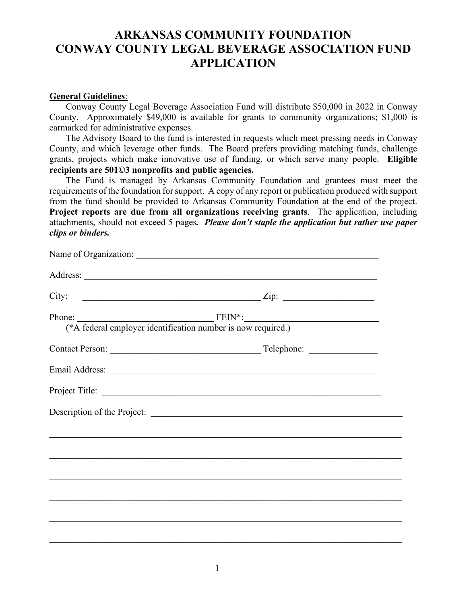## **ARKANSAS COMMUNITY FOUNDATION CONWAY COUNTY LEGAL BEVERAGE ASSOCIATION FUND APPLICATION**

## **General Guidelines**:

Conway County Legal Beverage Association Fund will distribute \$50,000 in 2022 in Conway County. Approximately \$49,000 is available for grants to community organizations; \$1,000 is earmarked for administrative expenses.

The Advisory Board to the fund is interested in requests which meet pressing needs in Conway County, and which leverage other funds. The Board prefers providing matching funds, challenge grants, projects which make innovative use of funding, or which serve many people. **Eligible recipients are 501©3 nonprofits and public agencies.**

 The Fund is managed by Arkansas Community Foundation and grantees must meet the requirements of the foundation for support. A copy of any report or publication produced with support from the fund should be provided to Arkansas Community Foundation at the end of the project. **Project reports are due from all organizations receiving grants**. The application, including attachments, should not exceed 5 pages*. Please don't staple the application but rather use paper clips or binders.* 

|                                                              | City: $\qquad \qquad \qquad \qquad \text{Lip:}$                                   |  |
|--------------------------------------------------------------|-----------------------------------------------------------------------------------|--|
| (*A federal employer identification number is now required.) |                                                                                   |  |
|                                                              |                                                                                   |  |
|                                                              |                                                                                   |  |
|                                                              |                                                                                   |  |
|                                                              |                                                                                   |  |
|                                                              | ,我们也不能在这里的人,我们也不能在这里的人,我们也不能在这里的人,我们也不能在这里的人,我们也不能在这里的人,我们也不能在这里的人,我们也不能在这里的人,我们也 |  |
|                                                              |                                                                                   |  |
|                                                              |                                                                                   |  |
|                                                              |                                                                                   |  |
|                                                              |                                                                                   |  |
|                                                              |                                                                                   |  |
|                                                              |                                                                                   |  |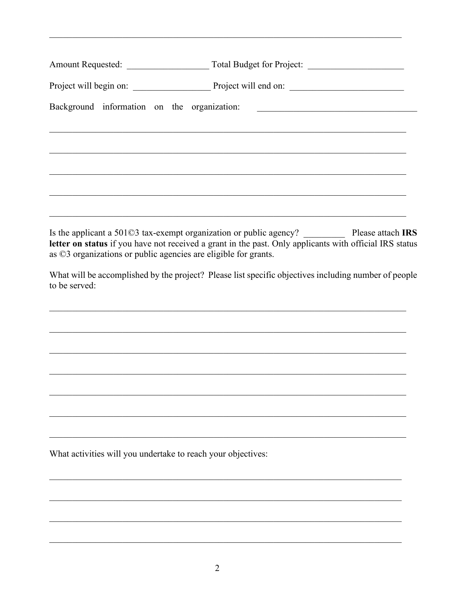| Amount Requested: |  |  |  |  |  |  |
|-------------------|--|--|--|--|--|--|
|                   |  |  |  |  |  |  |
|                   |  |  |  |  |  |  |
|                   |  |  |  |  |  |  |
|                   |  |  |  |  |  |  |
|                   |  |  |  |  |  |  |
|                   |  |  |  |  |  |  |
|                   |  |  |  |  |  |  |

Is the applicant a 501©3 tax-exempt organization or public agency? Please attach IRS letter on status if you have not received a grant in the past. Only applicants with official IRS status as ©3 organizations or public agencies are eligible for grants.

What will be accomplished by the project? Please list specific objectives including number of people to be served:

What activities will you undertake to reach your objectives: